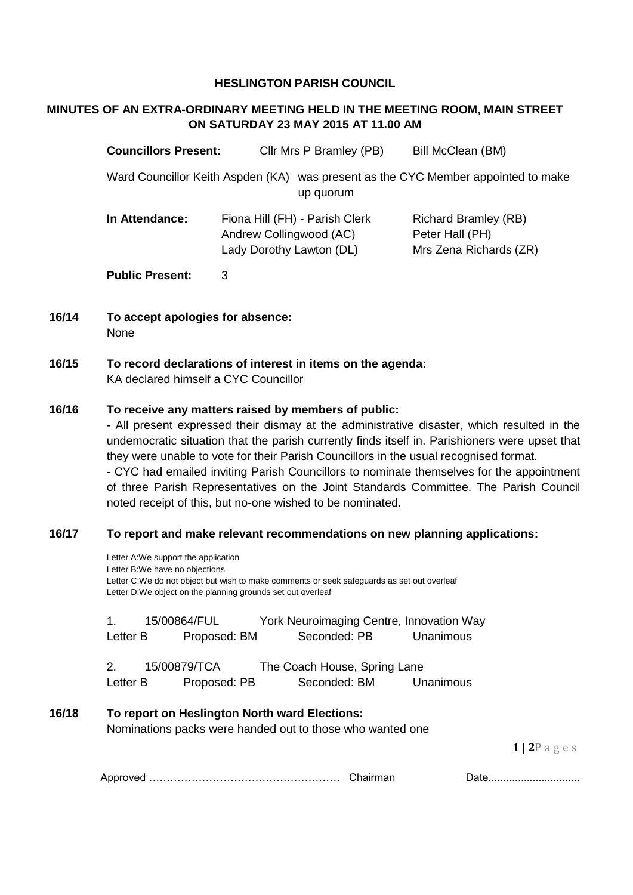#### **HESLINGTON PARISH COUNCIL**

## **MINUTES OF AN EXTRA-ORDINARY MEETING HELD IN THE MEETING ROOM, MAIN STREET ON SATURDAY 23 MAY 2015 AT 11.00 AM**

| <b>Councillors Present:</b>       | Cllr Mrs P Bramley (PB)                                                               | Bill McClean (BM)                                                        |
|-----------------------------------|---------------------------------------------------------------------------------------|--------------------------------------------------------------------------|
| Ward Councillor Keith Aspden (KA) | up quorum                                                                             | was present as the CYC Member appointed to make                          |
| In Attendance:                    | Fiona Hill (FH) - Parish Clerk<br>Andrew Collingwood (AC)<br>Lady Dorothy Lawton (DL) | <b>Richard Bramley (RB)</b><br>Peter Hall (PH)<br>Mrs Zena Richards (ZR) |
| <b>Public Present:</b>            | 3                                                                                     |                                                                          |

- **16/14 To accept apologies for absence:** None
- **16/15 To record declarations of interest in items on the agenda:** KA declared himself a CYC Councillor

#### **16/16 To receive any matters raised by members of public:**

- All present expressed their dismay at the administrative disaster, which resulted in the undemocratic situation that the parish currently finds itself in. Parishioners were upset that they were unable to vote for their Parish Councillors in the usual recognised format.

- CYC had emailed inviting Parish Councillors to nominate themselves for the appointment of three Parish Representatives on the Joint Standards Committee. The Parish Council noted receipt of this, but no-one wished to be nominated.

### **16/17 To report and make relevant recommendations on new planning applications:**

|       |                         | Letter A:We support the application<br>Letter B:We have no objections<br>Letter C:We do not object but wish to make comments or seek safeguards as set out overleaf<br>Letter D:We object on the planning grounds set out overleaf |                                          |              |           |             |
|-------|-------------------------|------------------------------------------------------------------------------------------------------------------------------------------------------------------------------------------------------------------------------------|------------------------------------------|--------------|-----------|-------------|
|       | 15/00864/FUL<br>$1_{-}$ |                                                                                                                                                                                                                                    | York Neuroimaging Centre, Innovation Way |              |           |             |
|       | Letter B                | Proposed: BM                                                                                                                                                                                                                       | Seconded: PB                             |              | Unanimous |             |
|       | 2.                      | 15/00879/TCA                                                                                                                                                                                                                       | The Coach House, Spring Lane             |              |           |             |
|       | Letter B                | Proposed: PB                                                                                                                                                                                                                       |                                          | Seconded: BM | Unanimous |             |
| 16/18 |                         | To report on Heslington North ward Elections:<br>Nominations packs were handed out to those who wanted one                                                                                                                         |                                          |              |           |             |
|       |                         |                                                                                                                                                                                                                                    |                                          |              |           | $1 2P$ ages |
|       |                         |                                                                                                                                                                                                                                    |                                          |              |           | Date        |